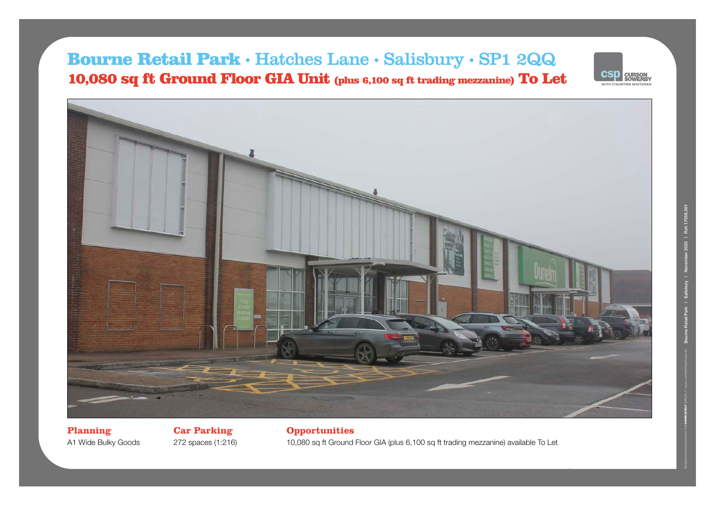# Bourne Retail Park • Hatches Lane • Salisbury • SP1 2QQ 10,080 sq ft Ground Floor GIA Unit (plus 6,100 sq ft trading mezzanine) To Let





**Planning** A1 Wide Bulky Goods

**Car Parking** 272 spaces (1:216) **Opportunities** 10,080 sq ft Ground Floor GIA (plus 6,100 sq ft trading mezzanine) available To Let